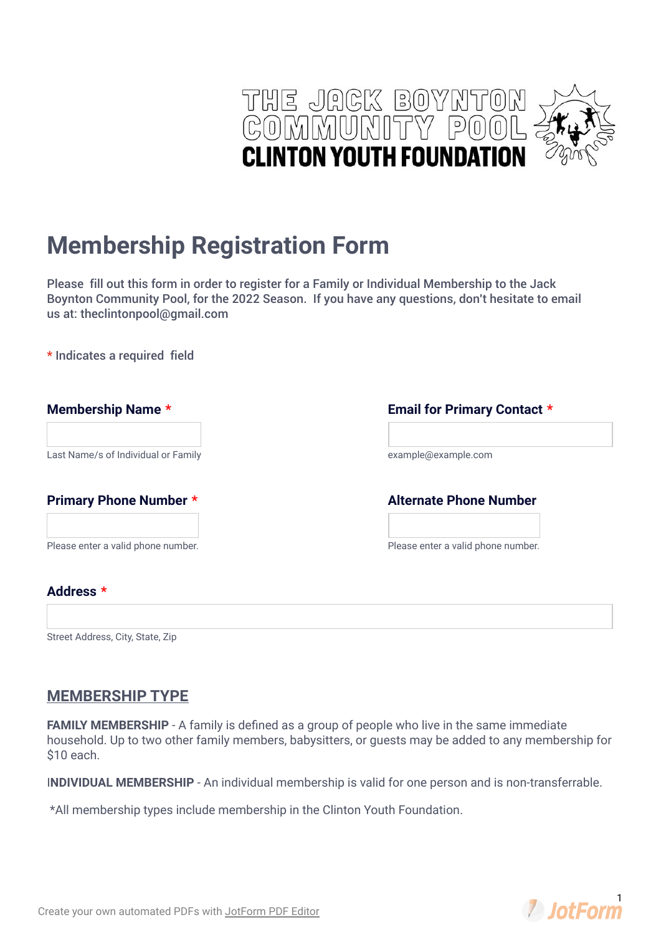

# **Membership Registration Form**

Please fill out this form in order to register for a Family or Individual Membership to the Jack Boynton Community Pool, for the 2022 Season. If you have any questions, don't hesitate to email us at: theclintonpool@gmail.com

**\*** Indicates a required field

| Membership Name *                   | <b>Email for Primary Contact *</b> |
|-------------------------------------|------------------------------------|
| Last Name/s of Individual or Family | example@example.com                |
| <b>Primary Phone Number *</b>       | <b>Alternate Phone Number</b>      |
| Please enter a valid phone number.  | Please enter a valid phone number. |
| Address *                           |                                    |

Street Address, City, State, Zip

### **MEMBERSHIP TYPE**

**FAMILY MEMBERSHIP** - A family is defined as a group of people who live in the same immediate household. Up to two other family members, babysitters, or guests may be added to any membership for \$10 each.

I**NDIVIDUAL MEMBERSHIP** - An individual membership is valid for one person and is non-transferrable.

\*All membership types include membership in the Clinton Youth Foundation.

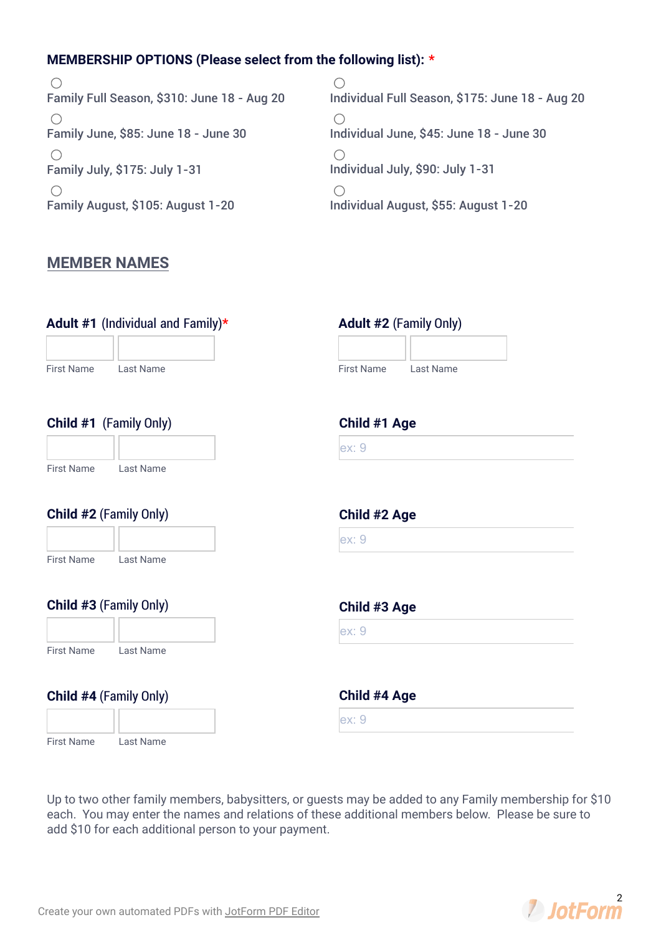### **MEMBERSHIP OPTIONS (Please select from the following list): \***

 $\bigcirc$ Family Full Season, \$310: June 18 - Aug 20  $\bigcap$ Family June, \$85: June 18 - June 30  $\bigcirc$ Family July, \$175: July 1-31  $\bigcap$ Family August, \$105: August 1-20

 $\bigcirc$ Individual Full Season, \$175: June 18 - Aug 20  $\bigcap$ Individual June, \$45: June 18 - June 30  $\bigcirc$ Individual July, \$90: July 1-31  $\bigcirc$ Individual August, \$55: August 1-20

## **MEMBER NAMES**

| Adult #1 (Individual and Family) $\star$ | <b>Adult #2 (Family Only)</b>         |
|------------------------------------------|---------------------------------------|
| <b>First Name</b><br><b>Last Name</b>    | <b>First Name</b><br><b>Last Name</b> |
|                                          |                                       |
| Child #1 (Family Only)                   | Child #1 Age                          |
|                                          | ex:9                                  |
| <b>First Name</b><br>Last Name           |                                       |
| Child #2 (Family Only)                   | Child #2 Age                          |
|                                          | ex:9                                  |
| <b>First Name</b><br>Last Name           |                                       |
| Child #3 (Family Only)                   | Child #3 Age                          |
|                                          | ex:9                                  |
| <b>First Name</b><br>Last Name           |                                       |
| Child #4 (Family Only)                   | Child #4 Age                          |
|                                          | ex:9                                  |
| <b>First Name</b><br>Last Name           |                                       |

Up to two other family members, babysitters, or guests may be added to any Family membership for \$10 each. You may enter the names and relations of these additional members below. Please be sure to add \$10 for each additional person to your payment.